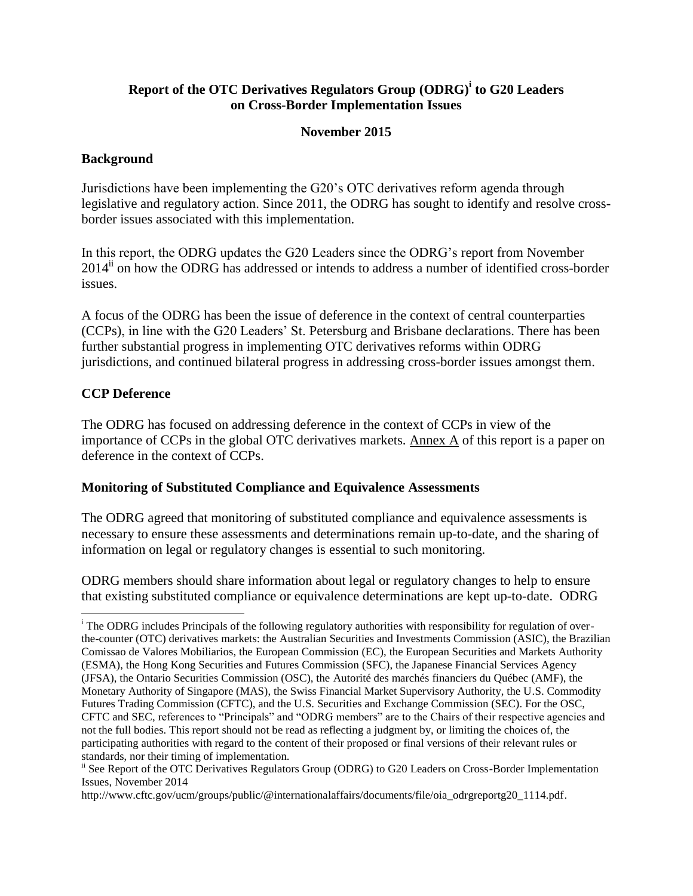# **Report of the OTC Derivatives Regulators Group (ODRG)<sup>i</sup> to G20 Leaders on Cross-Border Implementation Issues**

### **November 2015**

### **Background**

Jurisdictions have been implementing the G20's OTC derivatives reform agenda through legislative and regulatory action. Since 2011, the ODRG has sought to identify and resolve crossborder issues associated with this implementation.

In this report, the ODRG updates the G20 Leaders since the ODRG's report from November  $2014<sup>ii</sup>$  on how the ODRG has addressed or intends to address a number of identified cross-border issues.

A focus of the ODRG has been the issue of deference in the context of central counterparties (CCPs), in line with the G20 Leaders' St. Petersburg and Brisbane declarations. There has been further substantial progress in implementing OTC derivatives reforms within ODRG jurisdictions, and continued bilateral progress in addressing cross-border issues amongst them.

### **CCP Deference**

l

The ODRG has focused on addressing deference in the context of CCPs in view of the importance of CCPs in the global OTC derivatives markets. Annex  $\overline{A}$  of this report is a paper on deference in the context of CCPs.

#### **Monitoring of Substituted Compliance and Equivalence Assessments**

The ODRG agreed that monitoring of substituted compliance and equivalence assessments is necessary to ensure these assessments and determinations remain up-to-date, and the sharing of information on legal or regulatory changes is essential to such monitoring.

ODRG members should share information about legal or regulatory changes to help to ensure that existing substituted compliance or equivalence determinations are kept up-to-date. ODRG

<sup>&</sup>lt;sup>i</sup> The ODRG includes Principals of the following regulatory authorities with responsibility for regulation of overthe-counter (OTC) derivatives markets: the Australian Securities and Investments Commission (ASIC), the Brazilian Comissao de Valores Mobiliarios, the European Commission (EC), the European Securities and Markets Authority (ESMA), the Hong Kong Securities and Futures Commission (SFC), the Japanese Financial Services Agency (JFSA), the Ontario Securities Commission (OSC), the Autorité des marchés financiers du Québec (AMF), the Monetary Authority of Singapore (MAS), the Swiss Financial Market Supervisory Authority, the U.S. Commodity Futures Trading Commission (CFTC), and the U.S. Securities and Exchange Commission (SEC). For the OSC, CFTC and SEC, references to "Principals" and "ODRG members" are to the Chairs of their respective agencies and not the full bodies. This report should not be read as reflecting a judgment by, or limiting the choices of, the participating authorities with regard to the content of their proposed or final versions of their relevant rules or standards, nor their timing of implementation.

<sup>&</sup>lt;sup>ii</sup> See Report of the OTC Derivatives Regulators Group (ODRG) to G20 Leaders on Cross-Border Implementation Issues, November 2014

http://www.cftc.gov/ucm/groups/public/@internationalaffairs/documents/file/oia\_odrgreportg20\_1114.pdf.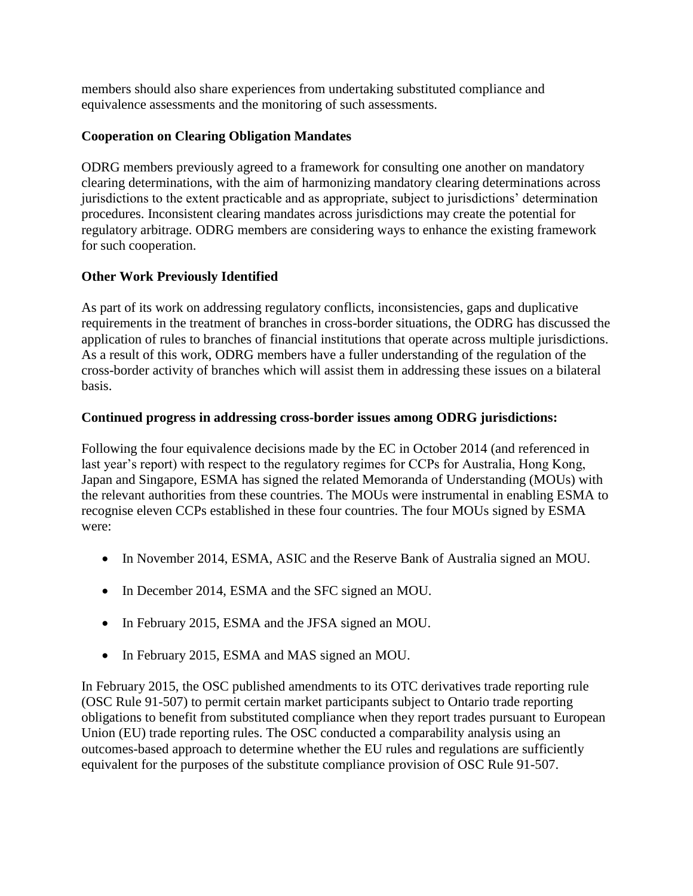members should also share experiences from undertaking substituted compliance and equivalence assessments and the monitoring of such assessments.

# **Cooperation on Clearing Obligation Mandates**

ODRG members previously agreed to a framework for consulting one another on mandatory clearing determinations, with the aim of harmonizing mandatory clearing determinations across jurisdictions to the extent practicable and as appropriate, subject to jurisdictions' determination procedures. Inconsistent clearing mandates across jurisdictions may create the potential for regulatory arbitrage. ODRG members are considering ways to enhance the existing framework for such cooperation.

# **Other Work Previously Identified**

As part of its work on addressing regulatory conflicts, inconsistencies, gaps and duplicative requirements in the treatment of branches in cross-border situations, the ODRG has discussed the application of rules to branches of financial institutions that operate across multiple jurisdictions. As a result of this work, ODRG members have a fuller understanding of the regulation of the cross-border activity of branches which will assist them in addressing these issues on a bilateral basis.

# **Continued progress in addressing cross-border issues among ODRG jurisdictions:**

Following the four equivalence decisions made by the EC in October 2014 (and referenced in last year's report) with respect to the regulatory regimes for CCPs for Australia, Hong Kong, Japan and Singapore, ESMA has signed the related Memoranda of Understanding (MOUs) with the relevant authorities from these countries. The MOUs were instrumental in enabling ESMA to recognise eleven CCPs established in these four countries. The four MOUs signed by ESMA were:

- In November 2014, ESMA, ASIC and the Reserve Bank of Australia signed an MOU.
- In December 2014, ESMA and the SFC signed an MOU.
- In February 2015, ESMA and the JFSA signed an MOU.
- In February 2015, ESMA and MAS signed an MOU.

In February 2015, the OSC published amendments to its OTC derivatives trade reporting rule (OSC Rule 91-507) to permit certain market participants subject to Ontario trade reporting obligations to benefit from substituted compliance when they report trades pursuant to European Union (EU) trade reporting rules. The OSC conducted a comparability analysis using an outcomes-based approach to determine whether the EU rules and regulations are sufficiently equivalent for the purposes of the substitute compliance provision of OSC Rule 91-507.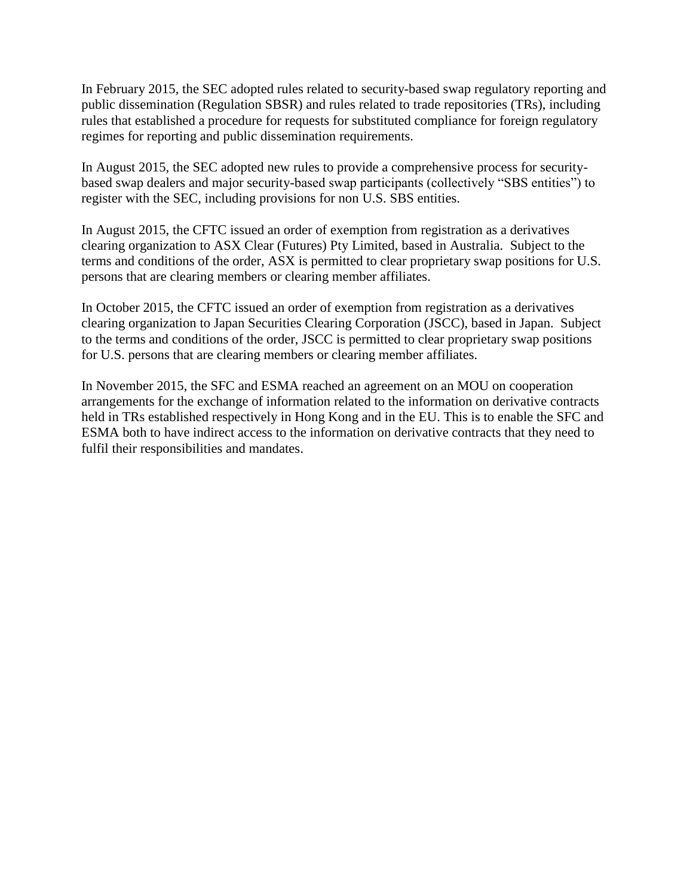In February 2015, the SEC adopted rules related to security-based swap regulatory reporting and public dissemination (Regulation SBSR) and rules related to trade repositories (TRs), including rules that established a procedure for requests for substituted compliance for foreign regulatory regimes for reporting and public dissemination requirements.

In August 2015, the SEC adopted new rules to provide a comprehensive process for securitybased swap dealers and major security-based swap participants (collectively "SBS entities") to register with the SEC, including provisions for non U.S. SBS entities.

In August 2015, the CFTC issued an order of exemption from registration as a derivatives clearing organization to ASX Clear (Futures) Pty Limited, based in Australia. Subject to the terms and conditions of the order, ASX is permitted to clear proprietary swap positions for U.S. persons that are clearing members or clearing member affiliates.

In October 2015, the CFTC issued an order of exemption from registration as a derivatives clearing organization to Japan Securities Clearing Corporation (JSCC), based in Japan. Subject to the terms and conditions of the order, JSCC is permitted to clear proprietary swap positions for U.S. persons that are clearing members or clearing member affiliates.

In November 2015, the SFC and ESMA reached an agreement on an MOU on cooperation arrangements for the exchange of information related to the information on derivative contracts held in TRs established respectively in Hong Kong and in the EU. This is to enable the SFC and ESMA both to have indirect access to the information on derivative contracts that they need to fulfil their responsibilities and mandates.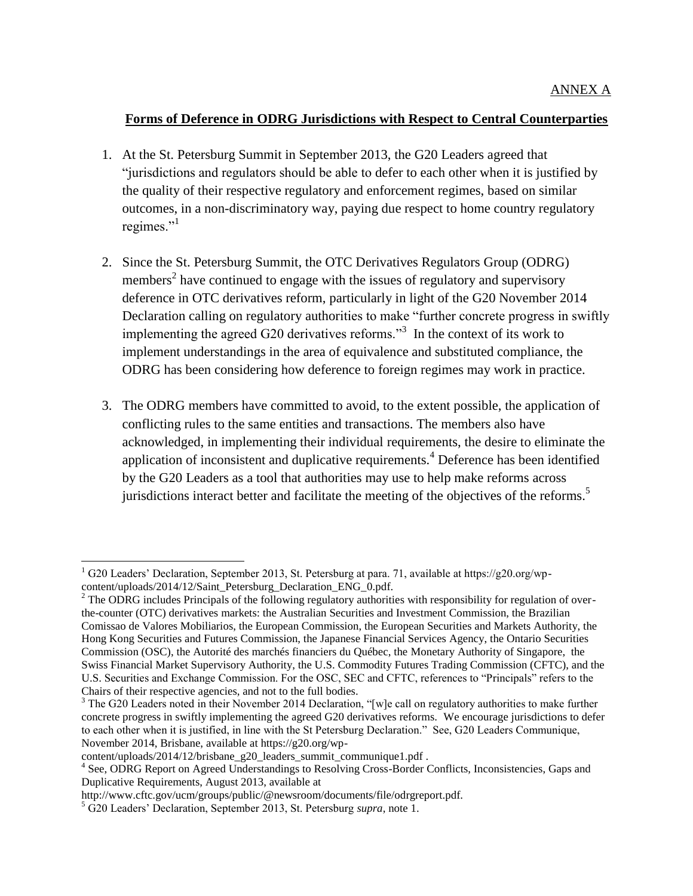## **Forms of Deference in ODRG Jurisdictions with Respect to Central Counterparties**

- 1. At the St. Petersburg Summit in September 2013, the G20 Leaders agreed that "jurisdictions and regulators should be able to defer to each other when it is justified by the quality of their respective regulatory and enforcement regimes, based on similar outcomes, in a non-discriminatory way, paying due respect to home country regulatory regimes."<sup>1</sup>
- 2. Since the St. Petersburg Summit, the OTC Derivatives Regulators Group (ODRG) members<sup>2</sup> have continued to engage with the issues of regulatory and supervisory deference in OTC derivatives reform, particularly in light of the G20 November 2014 Declaration calling on regulatory authorities to make "further concrete progress in swiftly implementing the agreed G20 derivatives reforms.<sup>33</sup> In the context of its work to implement understandings in the area of equivalence and substituted compliance, the ODRG has been considering how deference to foreign regimes may work in practice.
- 3. The ODRG members have committed to avoid, to the extent possible, the application of conflicting rules to the same entities and transactions. The members also have acknowledged, in implementing their individual requirements, the desire to eliminate the application of inconsistent and duplicative requirements.<sup>4</sup> Deference has been identified by the G20 Leaders as a tool that authorities may use to help make reforms across jurisdictions interact better and facilitate the meeting of the objectives of the reforms.<sup>5</sup>

 $\overline{\phantom{a}}$ 

 $1$  G20 Leaders' Declaration, September 2013, St. Petersburg at para. 71, available at https://g20.org/wpcontent/uploads/2014/12/Saint\_Petersburg\_Declaration\_ENG\_0.pdf.

 $2$  The ODRG includes Principals of the following regulatory authorities with responsibility for regulation of overthe-counter (OTC) derivatives markets: the Australian Securities and Investment Commission, the Brazilian Comissao de Valores Mobiliarios, the European Commission, the European Securities and Markets Authority, the Hong Kong Securities and Futures Commission, the Japanese Financial Services Agency, the Ontario Securities Commission (OSC), the Autorité des marchés financiers du Québec, the Monetary Authority of Singapore, the Swiss Financial Market Supervisory Authority, the U.S. Commodity Futures Trading Commission (CFTC), and the U.S. Securities and Exchange Commission. For the OSC, SEC and CFTC, references to "Principals" refers to the Chairs of their respective agencies, and not to the full bodies.

<sup>&</sup>lt;sup>3</sup> The G20 Leaders noted in their November 2014 Declaration, "[w]e call on regulatory authorities to make further concrete progress in swiftly implementing the agreed G20 derivatives reforms. We encourage jurisdictions to defer to each other when it is justified, in line with the St Petersburg Declaration." See, G20 Leaders Communique, November 2014, Brisbane, available at https://g20.org/wp-

content/uploads/2014/12/brisbane\_g20\_leaders\_summit\_communique1.pdf .

<sup>&</sup>lt;sup>4</sup> See, ODRG Report on Agreed Understandings to Resolving Cross-Border Conflicts, Inconsistencies, Gaps and Duplicative Requirements, August 2013, available at

http://www.cftc.gov/ucm/groups/public/@newsroom/documents/file/odrgreport.pdf.

<sup>5</sup> G20 Leaders' Declaration, September 2013, St. Petersburg *supra*, note 1.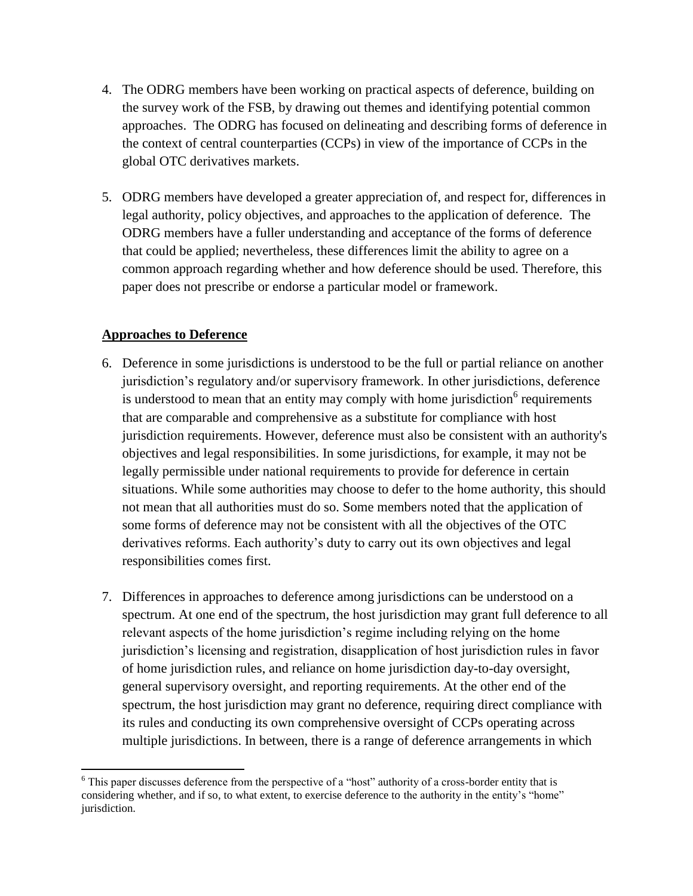- 4. The ODRG members have been working on practical aspects of deference, building on the survey work of the FSB, by drawing out themes and identifying potential common approaches. The ODRG has focused on delineating and describing forms of deference in the context of central counterparties (CCPs) in view of the importance of CCPs in the global OTC derivatives markets.
- 5. ODRG members have developed a greater appreciation of, and respect for, differences in legal authority, policy objectives, and approaches to the application of deference. The ODRG members have a fuller understanding and acceptance of the forms of deference that could be applied; nevertheless, these differences limit the ability to agree on a common approach regarding whether and how deference should be used. Therefore, this paper does not prescribe or endorse a particular model or framework.

# **Approaches to Deference**

- 6. Deference in some jurisdictions is understood to be the full or partial reliance on another jurisdiction's regulatory and/or supervisory framework. In other jurisdictions, deference is understood to mean that an entity may comply with home jurisdiction<sup>6</sup> requirements that are comparable and comprehensive as a substitute for compliance with host jurisdiction requirements. However, deference must also be consistent with an authority's objectives and legal responsibilities. In some jurisdictions, for example, it may not be legally permissible under national requirements to provide for deference in certain situations. While some authorities may choose to defer to the home authority, this should not mean that all authorities must do so. Some members noted that the application of some forms of deference may not be consistent with all the objectives of the OTC derivatives reforms. Each authority's duty to carry out its own objectives and legal responsibilities comes first.
- 7. Differences in approaches to deference among jurisdictions can be understood on a spectrum. At one end of the spectrum, the host jurisdiction may grant full deference to all relevant aspects of the home jurisdiction's regime including relying on the home jurisdiction's licensing and registration, disapplication of host jurisdiction rules in favor of home jurisdiction rules, and reliance on home jurisdiction day-to-day oversight, general supervisory oversight, and reporting requirements. At the other end of the spectrum, the host jurisdiction may grant no deference, requiring direct compliance with its rules and conducting its own comprehensive oversight of CCPs operating across multiple jurisdictions. In between, there is a range of deference arrangements in which

 $\overline{\phantom{a}}$ <sup>6</sup> This paper discusses deference from the perspective of a "host" authority of a cross-border entity that is considering whether, and if so, to what extent, to exercise deference to the authority in the entity's "home" jurisdiction.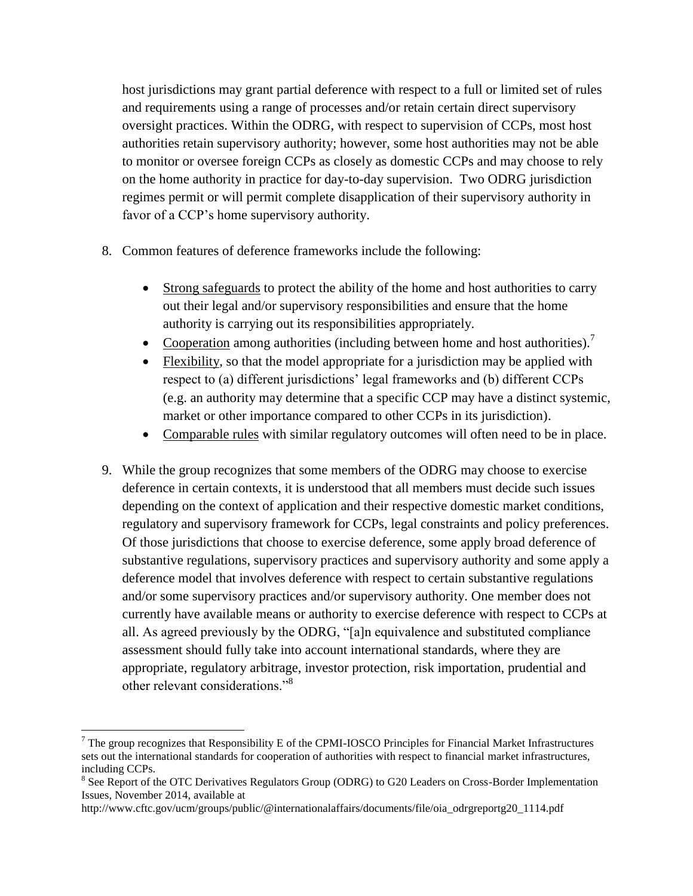host jurisdictions may grant partial deference with respect to a full or limited set of rules and requirements using a range of processes and/or retain certain direct supervisory oversight practices. Within the ODRG, with respect to supervision of CCPs, most host authorities retain supervisory authority; however, some host authorities may not be able to monitor or oversee foreign CCPs as closely as domestic CCPs and may choose to rely on the home authority in practice for day-to-day supervision. Two ODRG jurisdiction regimes permit or will permit complete disapplication of their supervisory authority in favor of a CCP's home supervisory authority.

- 8. Common features of deference frameworks include the following:
	- Strong safeguards to protect the ability of the home and host authorities to carry out their legal and/or supervisory responsibilities and ensure that the home authority is carrying out its responsibilities appropriately.
	- Cooperation among authorities (including between home and host authorities).<sup>7</sup>
	- Flexibility, so that the model appropriate for a jurisdiction may be applied with respect to (a) different jurisdictions' legal frameworks and (b) different CCPs (e.g. an authority may determine that a specific CCP may have a distinct systemic, market or other importance compared to other CCPs in its jurisdiction).
	- Comparable rules with similar regulatory outcomes will often need to be in place.
- 9. While the group recognizes that some members of the ODRG may choose to exercise deference in certain contexts, it is understood that all members must decide such issues depending on the context of application and their respective domestic market conditions, regulatory and supervisory framework for CCPs, legal constraints and policy preferences. Of those jurisdictions that choose to exercise deference, some apply broad deference of substantive regulations, supervisory practices and supervisory authority and some apply a deference model that involves deference with respect to certain substantive regulations and/or some supervisory practices and/or supervisory authority. One member does not currently have available means or authority to exercise deference with respect to CCPs at all. As agreed previously by the ODRG, "[a]n equivalence and substituted compliance assessment should fully take into account international standards, where they are appropriate, regulatory arbitrage, investor protection, risk importation, prudential and other relevant considerations."<sup>8</sup>

l

<sup>&</sup>lt;sup>7</sup> The group recognizes that Responsibility E of the CPMI-IOSCO Principles for Financial Market Infrastructures sets out the international standards for cooperation of authorities with respect to financial market infrastructures, including CCPs.

<sup>&</sup>lt;sup>8</sup> See Report of the OTC Derivatives Regulators Group (ODRG) to G20 Leaders on Cross-Border Implementation Issues, November 2014, available at

http://www.cftc.gov/ucm/groups/public/@internationalaffairs/documents/file/oia\_odrgreportg20\_1114.pdf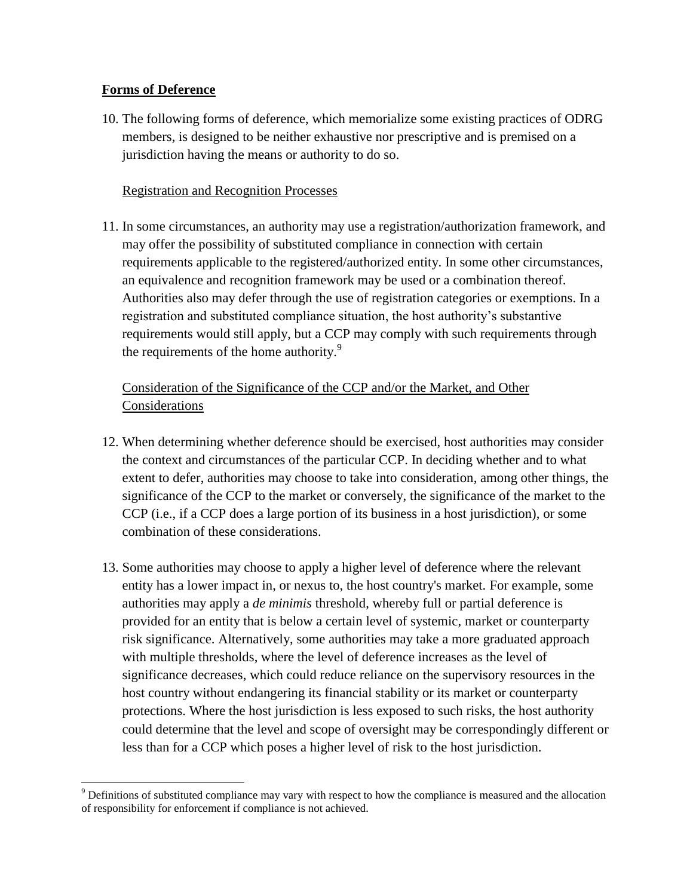## **Forms of Deference**

10. The following forms of deference, which memorialize some existing practices of ODRG members, is designed to be neither exhaustive nor prescriptive and is premised on a jurisdiction having the means or authority to do so.

# Registration and Recognition Processes

11. In some circumstances, an authority may use a registration/authorization framework, and may offer the possibility of substituted compliance in connection with certain requirements applicable to the registered/authorized entity. In some other circumstances, an equivalence and recognition framework may be used or a combination thereof. Authorities also may defer through the use of registration categories or exemptions. In a registration and substituted compliance situation, the host authority's substantive requirements would still apply, but a CCP may comply with such requirements through the requirements of the home authority.<sup>9</sup>

# Consideration of the Significance of the CCP and/or the Market, and Other Considerations

- 12. When determining whether deference should be exercised, host authorities may consider the context and circumstances of the particular CCP. In deciding whether and to what extent to defer, authorities may choose to take into consideration, among other things, the significance of the CCP to the market or conversely, the significance of the market to the CCP (i.e., if a CCP does a large portion of its business in a host jurisdiction), or some combination of these considerations.
- 13. Some authorities may choose to apply a higher level of deference where the relevant entity has a lower impact in, or nexus to, the host country's market. For example, some authorities may apply a *de minimis* threshold, whereby full or partial deference is provided for an entity that is below a certain level of systemic, market or counterparty risk significance. Alternatively, some authorities may take a more graduated approach with multiple thresholds, where the level of deference increases as the level of significance decreases, which could reduce reliance on the supervisory resources in the host country without endangering its financial stability or its market or counterparty protections. Where the host jurisdiction is less exposed to such risks, the host authority could determine that the level and scope of oversight may be correspondingly different or less than for a CCP which poses a higher level of risk to the host jurisdiction.

 $\overline{\phantom{a}}$ <sup>9</sup> Definitions of substituted compliance may vary with respect to how the compliance is measured and the allocation of responsibility for enforcement if compliance is not achieved.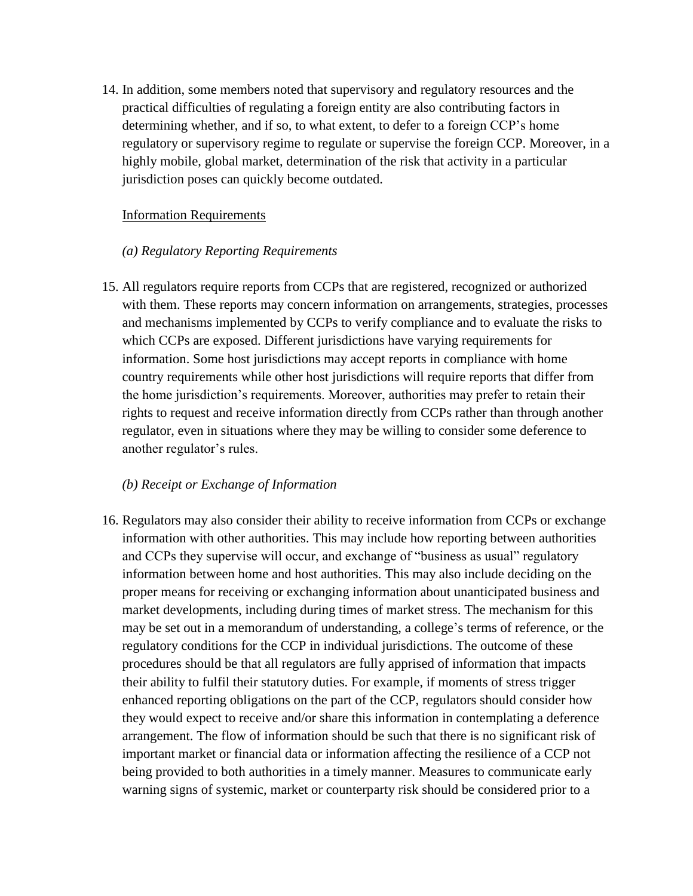14. In addition, some members noted that supervisory and regulatory resources and the practical difficulties of regulating a foreign entity are also contributing factors in determining whether, and if so, to what extent, to defer to a foreign CCP's home regulatory or supervisory regime to regulate or supervise the foreign CCP. Moreover, in a highly mobile, global market, determination of the risk that activity in a particular jurisdiction poses can quickly become outdated.

#### Information Requirements

#### *(a) Regulatory Reporting Requirements*

15. All regulators require reports from CCPs that are registered, recognized or authorized with them. These reports may concern information on arrangements, strategies, processes and mechanisms implemented by CCPs to verify compliance and to evaluate the risks to which CCPs are exposed. Different jurisdictions have varying requirements for information. Some host jurisdictions may accept reports in compliance with home country requirements while other host jurisdictions will require reports that differ from the home jurisdiction's requirements. Moreover, authorities may prefer to retain their rights to request and receive information directly from CCPs rather than through another regulator, even in situations where they may be willing to consider some deference to another regulator's rules.

## *(b) Receipt or Exchange of Information*

16. Regulators may also consider their ability to receive information from CCPs or exchange information with other authorities. This may include how reporting between authorities and CCPs they supervise will occur, and exchange of "business as usual" regulatory information between home and host authorities. This may also include deciding on the proper means for receiving or exchanging information about unanticipated business and market developments, including during times of market stress. The mechanism for this may be set out in a memorandum of understanding, a college's terms of reference, or the regulatory conditions for the CCP in individual jurisdictions. The outcome of these procedures should be that all regulators are fully apprised of information that impacts their ability to fulfil their statutory duties. For example, if moments of stress trigger enhanced reporting obligations on the part of the CCP, regulators should consider how they would expect to receive and/or share this information in contemplating a deference arrangement. The flow of information should be such that there is no significant risk of important market or financial data or information affecting the resilience of a CCP not being provided to both authorities in a timely manner. Measures to communicate early warning signs of systemic, market or counterparty risk should be considered prior to a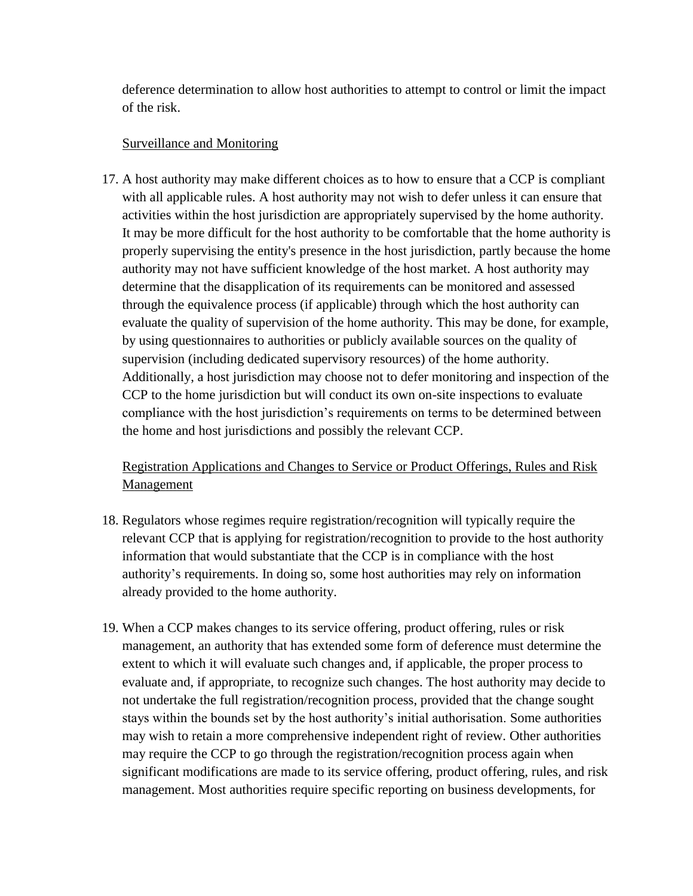deference determination to allow host authorities to attempt to control or limit the impact of the risk.

## Surveillance and Monitoring

17. A host authority may make different choices as to how to ensure that a CCP is compliant with all applicable rules. A host authority may not wish to defer unless it can ensure that activities within the host jurisdiction are appropriately supervised by the home authority. It may be more difficult for the host authority to be comfortable that the home authority is properly supervising the entity's presence in the host jurisdiction, partly because the home authority may not have sufficient knowledge of the host market. A host authority may determine that the disapplication of its requirements can be monitored and assessed through the equivalence process (if applicable) through which the host authority can evaluate the quality of supervision of the home authority. This may be done, for example, by using questionnaires to authorities or publicly available sources on the quality of supervision (including dedicated supervisory resources) of the home authority. Additionally, a host jurisdiction may choose not to defer monitoring and inspection of the CCP to the home jurisdiction but will conduct its own on-site inspections to evaluate compliance with the host jurisdiction's requirements on terms to be determined between the home and host jurisdictions and possibly the relevant CCP.

Registration Applications and Changes to Service or Product Offerings, Rules and Risk Management

- 18. Regulators whose regimes require registration/recognition will typically require the relevant CCP that is applying for registration/recognition to provide to the host authority information that would substantiate that the CCP is in compliance with the host authority's requirements. In doing so, some host authorities may rely on information already provided to the home authority.
- 19. When a CCP makes changes to its service offering, product offering, rules or risk management, an authority that has extended some form of deference must determine the extent to which it will evaluate such changes and, if applicable, the proper process to evaluate and, if appropriate, to recognize such changes. The host authority may decide to not undertake the full registration/recognition process, provided that the change sought stays within the bounds set by the host authority's initial authorisation. Some authorities may wish to retain a more comprehensive independent right of review. Other authorities may require the CCP to go through the registration/recognition process again when significant modifications are made to its service offering, product offering, rules, and risk management. Most authorities require specific reporting on business developments, for